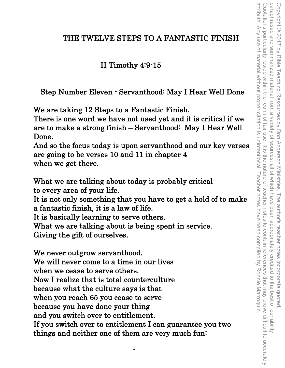## THE TWELVE STEPS TO A FANTASTIC FINISH

## II Timothy 4:9-15

Step Number Eleven - Servanthood: May I Hear Well Done

We are taking 12 Steps to a Fantastic Finish.

There is one word we have not used yet and it is critical if we are to make a strong finish – Servanthood: May I Hear Well Done.

And so the focus today is upon servanthood and our key verses are going to be verses 10 and 11 in chapter 4 when we get there.

What we are talking about today is probably critical to every area of your life. It is not only something that you have to get a hold of to make a fantastic finish, it is a law of life. It is basically learning to serve others. What we are talking about is being spent in service. Giving the gift of ourselves.

We never outgrow servanthood. We will never come to a time in our lives when we cease to serve others. Now I realize that is total counterculture because what the culture says is that when you reach 65 you cease to serve because you have done your thing and you switch over to entitlement. If you switch over to entitlement I can guarantee you two things and neither one of them are very much fun: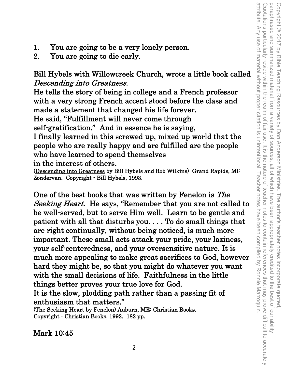attribute. Any use of material without proper citation is unintentional. Teacher notes have been compiled by Ronnie Marroquin Quotations particularly reside within the realm of fair use. It is the nature of teacher notes to contain references that may prove difficult to accurately Copyright © 2017 by Bible Teaching Resources by Don Anderson Ministries. The author's teacher notes incorporate quoted,<br>paraphrased and summarized material from a variety of sources, all of which have been appropriately cr attribute. Any use of material without proper citation is unintentional. Teacher notes have been compiled by Ronnie Marroquin. Quotations particularly reside within the realm of fair use. It is the nature of teacher notes to contain references that may prove difficult to accurately paraphrased and summarized material from a variety of sources, all of which have been appropriately credited to the best of our ability. Copyright © 2017 by Bible Teaching Resources by Don Anderson Ministries. The author's teacher notes incorporate quoted,

- 1. You are going to be a very lonely person.
- 2. You are going to die early.

Bill Hybels with Willowcreek Church, wrote a little book called Descending into Greatness.

He tells the story of being in college and a French professor with a very strong French accent stood before the class and made a statement that changed his life forever.

He said, "Fulfillment will never come through

self-gratification." And in essence he is saying,

I finally learned in this screwed up, mixed up world that the people who are really happy and are fulfilled are the people who have learned to spend themselves

in the interest of others.<br>(Descending into Greatness by Bill Hybels and Rob Wilkins) Grand Rapids, MI: Zondervan. Copyright - Bill Hybels, 1993.

One of the best books that was written by Fenelon is The Seeking Heart. He says, "Remember that you are not called to be well-served, but to serve Him well. Learn to be gentle and patient with all that disturbs you. . . . To do small things that are right continually, without being noticed, is much more important. These small acts attack your pride, your laziness, your self-centeredness, and your oversensitive nature. It is much more appealing to make great sacrifices to God, however hard they might be, so that you might do whatever you want with the small decisions of life. Faithfulness in the little things better proves your true love for God.

It is the slow, plodding path rather than a passing fit of enthusiasm that matters." (The Seeking Heart by Fenelon) Auburn, ME: Christian Books.

Copyright - Christian Books, 1992. 182 pp.

Mark 10:45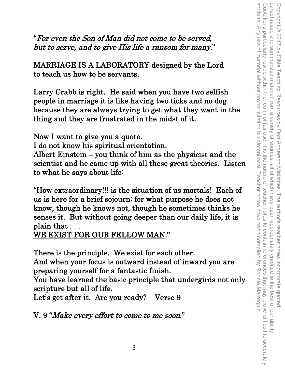"For even the Son of Man did not come to be served, but to serve, and to give His life a ransom for many."

MARRIAGE IS A LABORATORY designed by the Lord to teach us how to be servants.

Larry Crabb is right. He said when you have two selfish people in marriage it is like having two ticks and no dog because they are always trying to get what they want in the thing and they are frustrated in the midst of it.

Now I want to give you a quote. I do not know his spiritual orientation. Albert Einstein – you think of him as the physicist and the scientist and he came up with all these great theories. Listen to what he says about life:

"How extraordinary!!! is the situation of us mortals! Each of us is here for a brief sojourn; for what purpose he does not know, though he knows not, though he sometimes thinks he senses it. But without going deeper than our daily life, it is plain that . . .

WE EXIST FOR OUR FELLOW MAN."

There is the principle. We exist for each other. And when your focus is outward instead of inward you are preparing yourself for a fantastic finish.

You have learned the basic principle that undergirds not only scripture but all of life.

Let's get after it. Are you ready? Verse 9

V. 9 "Make every effort to come to me soon."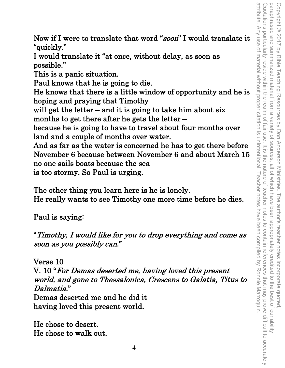attribute. Any use of material without proper citation is unintentional. Teacher notes have been compiled by Ronnie Marroquin. Quotations particularly reside within the realm of fair use. It is the nature of paraphrased and summarized material from a variety of sources. attribute. Any use of material without proper citation is unintentional. Teacher notes have been compiled by Ronnie Marroquin. Quotations particularly reside within the realm of fair use. It is the nature of teacher notes to contain references that may prove difficult to accurately Copyright © 2017 by Bible Teaching Resources by Don Anderson Ministries. The author's teacher notes incorporate quoted,<br>paraphrased and summarized material from a variety of sources, all of which have been appropriately c paraphrased and summarized material from a variety of sources, all of which have been appropriately credited to the best of our ability. Copyright © 2017 by Bible Teaching Resources by Don Anderson Ministries. The author's teacher notes incorporate quoted, teacher notes to contain references that may prove difficult to accurately

Now if I were to translate that word "soon" I would translate it "quickly."

I would translate it "at once, without delay, as soon as possible."

This is a panic situation.

Paul knows that he is going to die.

He knows that there is a little window of opportunity and he is hoping and praying that Timothy

will get the letter – and it is going to take him about six months to get there after he gets the letter –

because he is going to have to travel about four months over land and a couple of months over water.

And as far as the water is concerned he has to get there before November 6 because between November 6 and about March 15 no one sails boats because the sea is too stormy. So Paul is urging.

The other thing you learn here is he is lonely. He really wants to see Timothy one more time before he dies.

Paul is saying:

"Timothy, I would like for you to drop everything and come as soon as you possibly can."

Verse 10

V. 10 "For Demas deserted me, having loved this present world, and gone to Thessalonica, Crescens to Galatia, Titus to Dalmatia."

Demas deserted me and he did it having loved this present world.

He chose to desert. He chose to walk out.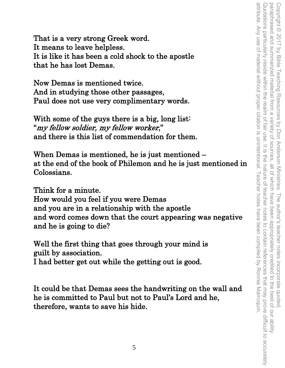That is a very strong Greek word. It means to leave helpless. It is like it has been a cold shock to the apostle that he has lost Demas.

Now Demas is mentioned twice. And in studying those other passages, Paul does not use very complimentary words.

With some of the guys there is a big, long list: "my fellow soldier, my fellow worker," and there is this list of commendation for them.

When Demas is mentioned, he is just mentioned – at the end of the book of Philemon and he is just mentioned in Colossians.

Think for a minute.

How would you feel if you were Demas and you are in a relationship with the apostle and word comes down that the court appearing was negative and he is going to die?

Well the first thing that goes through your mind is guilt by association.

I had better get out while the getting out is good.

It could be that Demas sees the handwriting on the wall and he is committed to Paul but not to Paul's Lord and he, therefore, wants to save his hide.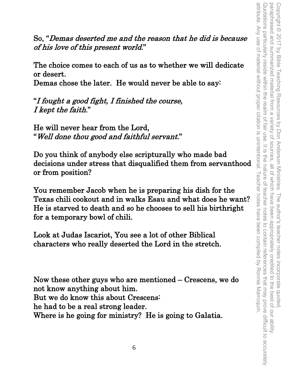So, "Demas deserted me and the reason that he did is because of his love of this present world."

The choice comes to each of us as to whether we will dedicate or desert.

Demas chose the later. He would never be able to say:

"I fought a good fight, I finished the course, I kept the faith."

He will never hear from the Lord, "Well done thou good and faithful servant."

Do you think of anybody else scripturally who made bad decisions under stress that disqualified them from servanthood or from position?

You remember Jacob when he is preparing his dish for the Texas chili cookout and in walks Esau and what does he want? He is starved to death and so he chooses to sell his birthright for a temporary bowl of chili.

Look at Judas Iscariot, You see a lot of other Biblical characters who really deserted the Lord in the stretch.

Now these other guys who are mentioned – Crescens, we do not know anything about him. But we do know this about Crescens: he had to be a real strong leader. Where is he going for ministry? He is going to Galatia.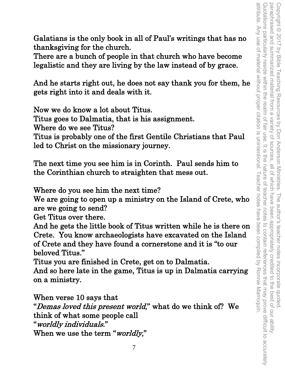attribute. Any use of material without proper citation is unintentional. Teacher notes Quotations particularly reside within the realm of paraphrased and attribute. Any use of material without proper citation is unintentional. Teacher notes have been compiled by Ronnie Marroquin. Quotations particularly reside within the realm of fair use. It is the nature of teacher notes to contain references that may prove difficult to accurately paraphrased and summarized material from a variety of sources, all of which have been appropriately credited to the best of our ability. Copyright © 2017 by Bible Teaching Resources by Don Anderson Ministries. Copyright © 2017 by Bible Teaching Resources by Don Anderson Ministries. The author's teacher notes incorporate quoted, Summarized material from a Variety of sources fair use  $=$   $\frac{1}{2}$ ine all of which have nature of teacher . The author's teacher notes incorporate quoted,<br>I have been appropriately credited to the best of our ability notes have been compiled by Ronnie Marroquin to contain references that may prove difficult to accurately

Galatians is the only book in all of Paul's writings that has no thanksgiving for the church.

There are a bunch of people in that church who have become legalistic and they are living by the law instead of by grace.

And he starts right out, he does not say thank you for them, he gets right into it and deals with it.

Now we do know a lot about Titus. Titus goes to Dalmatia, that is his assignment. Where do we see Titus?

Titus is probably one of the first Gentile Christians that Paul led to Christ on the missionary journey.

The next time you see him is in Corinth. Paul sends him to the Corinthian church to straighten that mess out.

Where do you see him the next time?

We are going to open up a ministry on the Island of Crete, who are we going to send?

Get Titus over there.

And he gets the little book of Titus written while he is there on Crete. You know archaeologists have excavated on the Island of Crete and they have found a cornerstone and it is "to our beloved Titus."

Titus you are finished in Crete, get on to Dalmatia.

And so here late in the game, Titus is up in Dalmatia carrying on a ministry.

When verse 10 says that

"Demas loved this present world," what do we think of? We think of what some people call "worldly individuals." When we use the term "worldly,"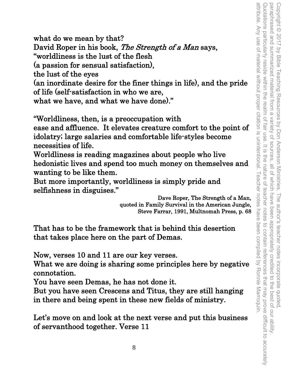attribute. Any use of material without proper citation is unintentional. I eacher notes Quotations particularly reside within the realm of fair use. Copyright © 2017 by Bible Teaching Resources by Don Anderson Ministries. The author's teacher notes incorporate quoted,<br>paraphrased and summarized material from a variety of sources, all of which have been appropriately cr attribute. Any use of material without proper citation is unintentional. Teacher notes have been compiled by Ronnie Marroquin. Quotations particularly reside within the realm of fair use. It is the nature of teacher notes to contain references that may prove difficult to accurately paraphrased and summarized material from a variety of sources, all of which have been appropriately credited to the best of our ability. Copyright © 2017 by Bible Teaching Resources by Don Anderson Ministries. The author's teacher notes incorporate quoted,  $=$   $\frac{1}{2}$ the nature of f teacher notes to contain references that may prove difficult to accurately have been compiled by Ronnie Marroquin

what do we mean by that? David Roper in his book, The Strength of a Man says, "worldliness is the lust of the flesh (a passion for sensual satisfaction), the lust of the eyes (an inordinate desire for the finer things in life), and the pride of life (self-satisfaction in who we are, what we have, and what we have done)."

"Worldliness, then, is a preoccupation with ease and affluence. It elevates creature comfort to the point of idolatry; large salaries and comfortable life-styles become necessities of life.

Worldliness is reading magazines about people who live hedonistic lives and spend too much money on themselves and wanting to be like them.

But more importantly, worldliness is simply pride and selfishness in disguises."<br>
Dave Roper, The Strength of a Man,

quoted in Family Survival in the American Jungle, Steve Farrar, 1991, Multnomah Press, p. 68

That has to be the framework that is behind this desertion that takes place here on the part of Demas.

Now, verses 10 and 11 are our key verses.

What we are doing is sharing some principles here by negative connotation.

You have seen Demas, he has not done it.

But you have seen Crescens and Titus, they are still hanging in there and being spent in these new fields of ministry.

Let's move on and look at the next verse and put this business of servanthood together. Verse 11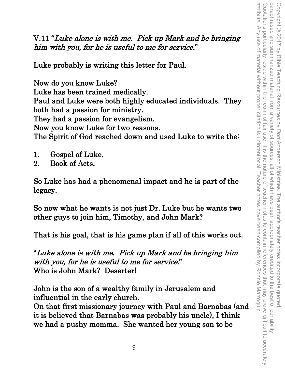V.11 "Luke alone is with me. Pick up Mark and be bringing him with you, for he is useful to me for service."

Luke probably is writing this letter for Paul.

Now do you know Luke? Luke has been trained medically. Paul and Luke were both highly educated individuals. They both had a passion for ministry. They had a passion for evangelism. Now you know Luke for two reasons. The Spirit of God reached down and used Luke to write the:

- 1. Gospel of Luke.
- 2. Book of Acts.

So Luke has had a phenomenal impact and he is part of the legacy.

So now what he wants is not just Dr. Luke but he wants two other guys to join him, Timothy, and John Mark?

That is his goal, that is his game plan if all of this works out.

"Luke alone is with me. Pick up Mark and be bringing him with you, for he is useful to me for service." Who is John Mark? Deserter!

John is the son of a wealthy family in Jerusalem and influential in the early church.

On that first missionary journey with Paul and Barnabas (and it is believed that Barnabas was probably his uncle), I think we had a pushy momma. She wanted her young son to be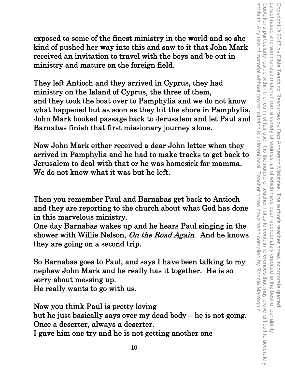exposed to some of the finest ministry in the world and so she kind of pushed her way into this and saw to it that John Mark received an invitation to travel with the boys and be out in ministry and mature on the foreign field.

They left Antioch and they arrived in Cyprus, they had ministry on the Island of Cyprus, the three of them, and they took the boat over to Pamphylia and we do not know what happened but as soon as they hit the shore in Pamphylia, John Mark booked passage back to Jerusalem and let Paul and Barnabas finish that first missionary journey alone.

Now John Mark either received a dear John letter when they arrived in Pamphylia and he had to make tracks to get back to Jerusalem to deal with that or he was homesick for mamma. We do not know what it was but he left.

Then you remember Paul and Barnabas get back to Antioch and they are reporting to the church about what God has done in this marvelous ministry.

One day Barnabas wakes up and he hears Paul singing in the shower with Willie Nelson, On the Road Again. And he knows they are going on a second trip.

So Barnabas goes to Paul, and says I have been talking to my nephew John Mark and he really has it together. He is so sorry about messing up. He really wants to go with us.

Now you think Paul is pretty loving but he just basically says over my dead body – he is not going. Once a deserter, always a deserter. I gave him one try and he is not getting another one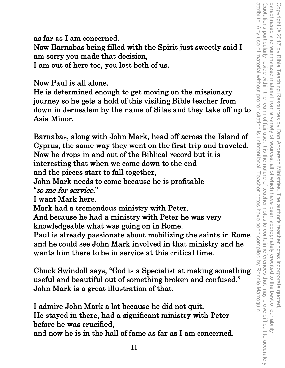as far as I am concerned.

Now Barnabas being filled with the Spirit just sweetly said I am sorry you made that decision,

I am out of here too, you lost both of us.

Now Paul is all alone.

He is determined enough to get moving on the missionary journey so he gets a hold of this visiting Bible teacher from down in Jerusalem by the name of Silas and they take off up to Asia Minor.

Barnabas, along with John Mark, head off across the Island of Cyprus, the same way they went on the first trip and traveled. Now he drops in and out of the Biblical record but it is interesting that when we come down to the end and the pieces start to fall together,

John Mark needs to come because he is profitable "to me for service."

I want Mark here.

Mark had a tremendous ministry with Peter.

And because he had a ministry with Peter he was very knowledgeable what was going on in Rome.

Paul is already passionate about mobilizing the saints in Rome and he could see John Mark involved in that ministry and he wants him there to be in service at this critical time.

Chuck Swindoll says, "God is a Specialist at making something useful and beautiful out of something broken and confused." John Mark is a great illustration of that.

I admire John Mark a lot because he did not quit. He stayed in there, had a significant ministry with Peter before he was crucified, and now he is in the hall of fame as far as I am concerned.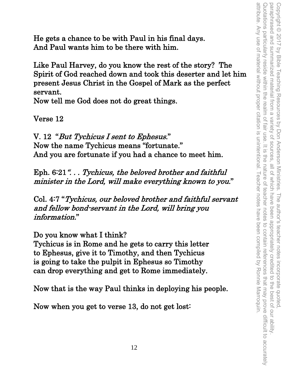attribute. Any use of material without proper citation is unintentional. Teacher notes have been compiled by Ronnie Marroquin. Quotations particularly reside within the realm of fair use. It is Copyright © 2017 by Bible Teaching Resources by Don Anderson Ministries. The author's teacher notes incorporate quoted,<br>paraphrased and summarized material from a variety of sources, all of which have been appropriately cr attribute. Any use of material without proper citation is unintentional. Teacher notes have been compiled by Ronnie Marroquin. Quotations particularly reside within the realm of fair use. It is the nature of teacher notes to contain references that may prove difficult to accurately paraphrased and summarized material from a variety of sources, all of which have been appropriately credited to the best of our ability. Copyright © 2017 by Bible Teaching Resources by Don Anderson Ministries. The author's teacher notes incorporate quoted, the nature of teacher notes to contain references that may prove difficult to accurately

He gets a chance to be with Paul in his final days. And Paul wants him to be there with him.

Like Paul Harvey, do you know the rest of the story? The Spirit of God reached down and took this deserter and let him present Jesus Christ in the Gospel of Mark as the perfect servant.

Now tell me God does not do great things.

Verse 12

V. 12 "But Tychicus I sent to Ephesus." Now the name Tychicus means "fortunate." And you are fortunate if you had a chance to meet him.

Eph. 6:21"... Tychicus, the beloved brother and faithful minister in the Lord, will make everything known to you."

Col. 4:7 "Tychicus, our beloved brother and faithful servant and fellow bond-servant in the Lord, will bring you information."

Do you know what I think?

Tychicus is in Rome and he gets to carry this letter to Ephesus, give it to Timothy, and then Tychicus is going to take the pulpit in Ephesus so Timothy can drop everything and get to Rome immediately.

Now that is the way Paul thinks in deploying his people.

Now when you get to verse 13, do not get lost: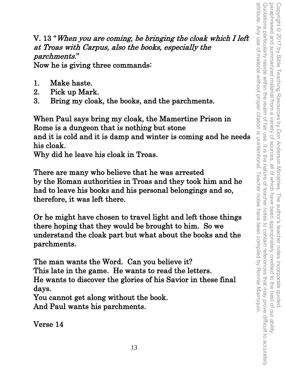V. 13 "When you are coming, be bringing the cloak which I left at Troas with Carpus, also the books, especially the parchments."

Now he is giving three commands:

- 1. Make haste.
- 2. Pick up Mark.
- 3. Bring my cloak, the books, and the parchments.

When Paul says bring my cloak, the Mamertine Prison in Rome is a dungeon that is nothing but stone and it is cold and it is damp and winter is coming and he needs his cloak.

Why did he leave his cloak in Troas.

There are many who believe that he was arrested by the Roman authorities in Troas and they took him and he had to leave his books and his personal belongings and so, therefore, it was left there.

Or he might have chosen to travel light and left those things there hoping that they would be brought to him. So we understand the cloak part but what about the books and the parchments.

The man wants the Word. Can you believe it? This late in the game. He wants to read the letters. He wants to discover the glories of his Savior in these final days.

You cannot get along without the book. And Paul wants his parchments.

Verse 14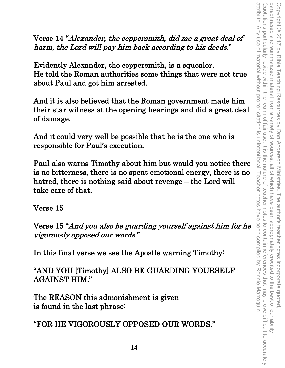Verse 14 "Alexander, the coppersmith, did me a great deal of harm, the Lord will pay him back according to his deeds."

Evidently Alexander, the coppersmith, is a squealer. He told the Roman authorities some things that were not true about Paul and got him arrested.

And it is also believed that the Roman government made him their star witness at the opening hearings and did a great deal of damage.

And it could very well be possible that he is the one who is responsible for Paul's execution.

Paul also warns Timothy about him but would you notice there is no bitterness, there is no spent emotional energy, there is no hatred, there is nothing said about revenge – the Lord will take care of that.

Verse 15

Verse 15 "And you also be guarding yourself against him for he vigorously opposed our words."

In this final verse we see the Apostle warning Timothy:

"AND YOU [Timothy] ALSO BE GUARDING YOURSELF AGAINST HIM."

The REASON this admonishment is given is found in the last phrase:

"FOR HE VIGOROUSLY OPPOSED OUR WORDS."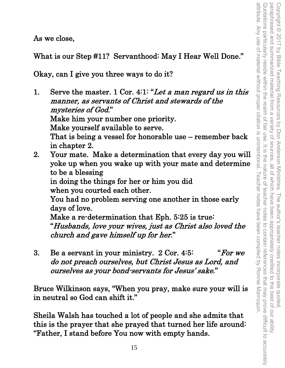attribute. Any use of material without proper citation is unintentional Quotations particularly reside within the realm of fair use Copyright © 2017 by Bible Teaching Resources by Don Anderson Ministries. The author's teacher notes incorporate quoted,<br>paraphrased and summarized material from a variety of sources, all of which have been appropriately cr attribute. Any use of material without proper citation is unintentional. Teacher notes have been compiled by Ronnie Marroquin. Quotations particularly reside within the realm of fair use. It is the nature of teacher notes to contain references that may prove difficult to accurately paraphrased and summarized material from a variety of sources, all of which have been appropriately credited to the best of our ability. Copyright © 2017 by Bible Teaching Resources by Don Anderson Ministries. The author's teacher notes incorporate quoted, summarized material from a variety of sources, all of which have It is the nature of I eacher notes feacher notes to contain references that may prove difficult to accurately have been compiled by Ronnie Marroquin

As we close,

What is our Step #11? Servanthood: May I Hear Well Done."

Okay, can I give you three ways to do it?

- 1. Serve the master. 1 Cor. 4:1: "Let a man regard us in this manner, as servants of Christ and stewards of the mysteries of God." Make him your number one priority. Make yourself available to serve. That is being a vessel for honorable use – remember back in chapter 2. 2. Your mate. Make a determination that every day you will
- yoke up when you wake up with your mate and determine to be a blessing in doing the things for her or him you did when you courted each other. You had no problem serving one another in those early days of love. Make a re-determination that Eph. 5:25 is true: "Husbands, love your wives, just as Christ also loved the

church and gave himself up for her."

3. Be a servant in your ministry.  $2 \text{ Cor. } 4.5$ : "For we do not preach ourselves, but Christ Jesus as Lord, and ourselves as your bond-servants for Jesus' sake."

Bruce Wilkinson says, "When you pray, make sure your will is in neutral so God can shift it."

Sheila Walsh has touched a lot of people and she admits that this is the prayer that she prayed that turned her life around: "Father, I stand before You now with empty hands.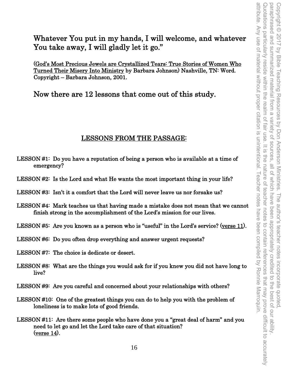Whatever You put in my hands, I will welcome, and whatever You take away, I will gladly let it go."

(God's Most Precious Jewels are Crystallized Tears: True Stories of Women Who Turned Their Misery Into Ministry by Barbara Johnson) Nashville, TN: Word. Copyright – Barbara Johnson, 2001.

Now there are 12 lessons that come out of this study.

### LESSONS FROM THE PASSAGE:

- LESSON #1: Do you have a reputation of being a person who is available at a time of emergency?
- LESSON #2: Is the Lord and what He wants the most important thing in your life?
- LESSON #3: Isn't it a comfort that the Lord will never leave us nor forsake us?
- LESSON #4: Mark teaches us that having made a mistake does not mean that we cannot finish strong in the accomplishment of the Lord's mission for our lives.
- LESSON #5: Are you known as a person who is "useful" in the Lord's service? (verse 11).
- LESSON #6: Do you often drop everything and answer urgent requests?
- LESSON #7: The choice is dedicate or desert.
- LESSON #8: What are the things you would ask for if you knew you did not have long to live?
- LESSON #9: Are you careful and concerned about your relationships with others?
- LESSON #10: One of the greatest things you can do to help you with the problem of loneliness is to make lots of good friends.
- LESSON #11: Are there some people who have done you a "great deal of harm" and you need to let go and let the Lord take care of that situation? (verse 14).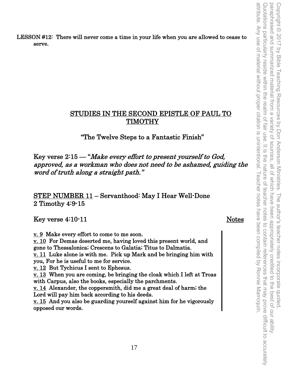LESSON #12: There will never come a time in your life when you are allowed to cease to serve.

## STUDIES IN THE SECOND EPISTLE OF PAUL TO TIMOTHY

#### "The Twelve Steps to a Fantastic Finish"

Key verse 2:15 — "Make every effort to present yourself to God, approved, as a workman who does not need to be ashamed, guiding the word of truth along a straight path."

STEP NUMBER 11 – Servanthood: May I Hear Well-Done 2 Timothy 4:9-15

Key verse 4:10-11 Notes

v. 9 Make every effort to come to me soon. v. 10 For Demas deserted me, having loved this present world, and gone to Thessalonica; Crescens to Galatia; Titus to Dalmatia.  $\underline{v. 11}$  Luke alone is with me. Pick up Mark and be bringing him with you, For he is useful to me for service. v. 12 But Tychicus I sent to Ephesus. v. 13 When you are coming, be bringing the cloak which I left at Troas with Carpus, also the books, especially the parchments. v. 14 Alexander, the coppersmith, did me a great deal of harm; the Lord will pay him back according to his deeds. v. 15 And you also be guarding yourself against him for he vigorously opposed our words.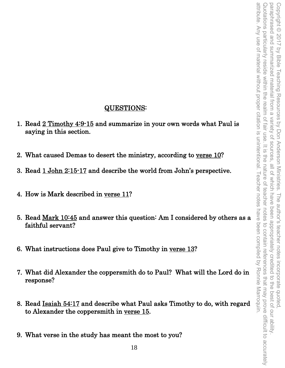## QUESTIONS:

- 1. Read 2 Timothy 4:9-15 and summarize in your own words what Paul is saying in this section.
- 2. What caused Demas to desert the ministry, according to verse 10?
- 3. Read 1 John 2:15-17 and describe the world from John's perspective.
- 4. How is Mark described in verse 11?
- 5. Read Mark 10:45 and answer this question: Am I considered by others as a faithful servant?
- 6. What instructions does Paul give to Timothy in verse 13?
- 7. What did Alexander the coppersmith do to Paul? What will the Lord do in response?
- 8. Read Isaiah 54:17 and describe what Paul asks Timothy to do, with regard to Alexander the coppersmith in verse 15.
- 9. What verse in the study has meant the most to you?